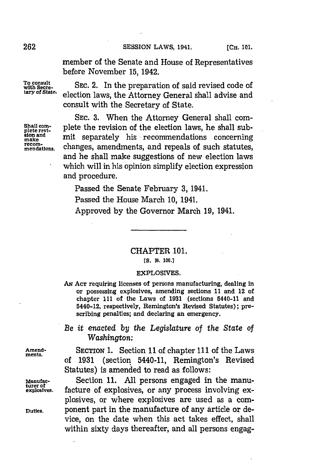member of the Senate and House of Representatives before November **15,** 1942.

To consult<br>with Secre-<br>tary of State. closition lowe the Attorney General shall advise and **tary of State.** election laws, the Attorney General shall advise and consult with the Secretary of State.

SEC. 3. When the Attorney General shall com-Shall com-<br>plete revi-<br>plete revi**miake and** mit separately his recommendations concerning recom-<br>mendations. changes, amendments, and repeals of such statutes, and he shall make suggestions of new election laws which will in his opinion simplify election expression and procedure.

Passed the Senate February **3,** 1941.

Passed the House March **10,** 1941.

Approved **by** the Governor March **19,** 1941.

CHAPTER **101.**

**[S. B. 100.1**

## **EXPLOSIVES.**

**Aw ACT** requiring licenses of persons manufacturing, dealing in or possessing explosives, amending sections **11 and 12 of** chapter **I11** of the Laws of **1931** (sections 5440-11 and 5440-12, respectively, Remington's Revised Statutes); **pre**scribing penalties; and declaring an emergency.

*Be it enacted by the Legislature of the State of Washington:*

**Amend-** SECTION **1.** Section **11** of chapter **111** of the Laws ments. of **1931** (section 5440-11, Remington's Revised Statutes) is amended to read as follows:

**Manufac-** Section **11. All** persons engaged in the manufacture of explosives, or any process involving explosives, or where explosives are used as a com-**Duties.** bonent part in the manufacture of any article or device, on the date when this act takes effect, shall within sixty days thereafter, and all persons engag-

**turer of**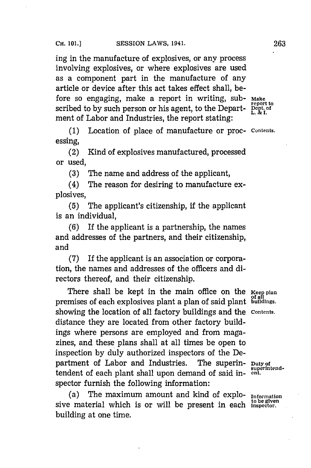ing in the manufacture of explosives, or any process involving explosives, or where explosives are used as a component part in the manufacture of any article or device after this act takes effect shall, before so engaging, make a report in writing, sub- Make the report to scribed to by such person or his agent, to the Department of Labor and Industries, the report stating:

**(1)** Location of place of manufacture or proc- **contents.** essing,

(2) Kind of explosives manufactured, processed or used,

**(3)** The name and address of the applicant,

(4) The reason for desiring to manufacture explosives,

**(5)** The applicant's citizenship, **if** the applicant is an individual,

**(6)** If the applicant is a partnership, the names and addresses of the partners, and their citizenship, and

**(7)** If the applicant is an association or corporation, the names and addresses of the officers and directors thereof, and their citizenship.

There shall be kept in the main office on the **Keep plan** premises of each explosives plant a plan of said plant <sup>of all</sup> tuildings. showing the location of all factory buildings and the **contents.** distance they are located from other factory buildings where persons are employed and from magazines, and these plans shall at all times be open to inspection **by** duly authorized inspectors of the Department of Labor and Industries. The superin-  $_{\text{superintend}}$ tendent of each plant shall upon demand of said inspector furnish the following information:

(a) The maximum amount and kind of explo- **Information** sive material which is or will be present in each **Inspector**. building at one time.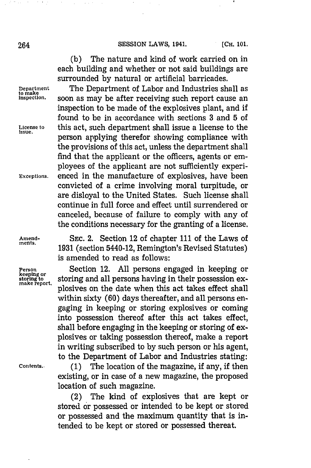## 264 **SESSION LAWS, 1941.** [Сн. 101.

**(b)** The nature and kind of work carried on in each building and whether or not said buildings are surrounded **by** natural or artificial barricades.

**Department** The Department of Labor and Industries shall as soon as may be after receiving such report cause an inspection to be made of the explosives plant, and if found to be in accordance with sections **3** and **5** of License to this act, such department shall issue a license to the person applying therefor showing compliance with the provisions of this act, unless the department shall find that the applicant or the officers, agents or employees of the applicant are not sufficiently experi-**Exceptions.** enced in the manufacture of explosives, have been convicted of a crime involving moral turpitude, or are disloyal to the United States. Such license shall continue in full force and effect until surrendered or canceled, because of failure to comply with any of the conditions necessary for the granting of a license.

**Amend- SEC.** 2. Section 12 of chapter **111** of the Laws of 1931 (section 5440-12, Remington's Revised Statutes) is amended to read as follows:

**Person Section 12.** All persons engaged in keeping or **Resonally Section 12.** All persons engaged in keeping or **starting** to storing and all persons having in their possession ex**keeping or storing to** storing and all persons having in their possession explosives on the date when this act takes effect shall within sixty **(60)** days thereafter, and all persons engaging in keeping or storing explosives or coming into possession thereof after this act takes effect, shall before engaging in the keeping or storing of explosives or taking possession thereof, make a report in writing subscribed to **by** such person or his agent, to the Department of Labor and Industries stating:

**Contents. (1)** The location of the magazine, **if** any, if then existing, or in case of a new magazine, the proposed location of such magazine.

> (2) The kind of explosives that are kept or stored or possessed or intended to be kept or stored or possessed and the maximum quantity that is intended to be kept or stored or possessed thereat.

**to make**

 $\sim$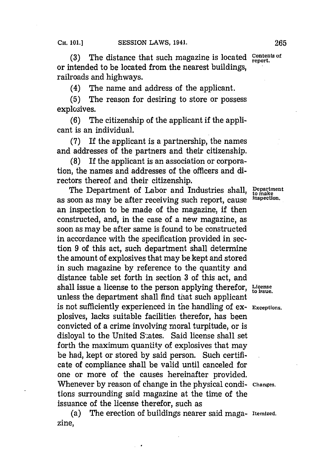(3) The distance that such magazine is located **Contents of** report. or intended to be located from the nearest buildings, railroads and highways.

(4) The name and address of the applicant.

**(5)** The reason for desiring to store or possess explosives.

**(6)** The citizenship of the applicant if the applicant is an individual.

**(7)** If the applicant is a partnership, the names and addresses of the partners and their citizenship.

**(8)** If the applicant is an association or corporation, the names and addresses of the officers and directors thereof and their citizenship.

The Department of Labor and Industries shall, **Department** soon as may be after receiving such report cause inspection. as soon as may be after receiving such report, cause an inspection to be made of the magazine, if then constructed, and, in the case of a new magazine, as soon as may be after same is found to be constructed in accordance with the specification provided in section **9** of this act, such department shall determine the amount of explosives that may be kept and stored in such magazine **by** reference to the quantity and distance table set forth in section **3** of this act, and shall issue a license to the person applying therefor, License shall issue. unless the department shall find that such applicant is not sufficiently experienced in the handling of ex- **Exceptions.** plosives, lacks suitable facilities therefor, has been convicted of a crime involving moral turpitude, or is disloyal to the United States. Said license shall set forth the maximum quantity of explosives that may be had, kept or stored **by** said person. Such certificate of compliance shall be valid until canceled for one or more of the causes hereinafter provided. Whenever **by** reason of change in the physical condi- **Changes,** tions surrounding said magazine at the time of the issuance of the license therefor, such as

(a) The erection of buildings nearer said maga- **Itemized.** zine,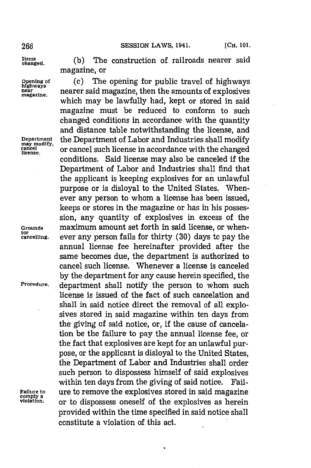266 **SESSION LAWS, 1941.** [Сн. 101.

**Items**

tor<br>cancelling.

(b) The construction of railroads nearer said magazine, or

**Opening of** (c) The opening for public travel of highways **hghways near** *nearer* said magazine, then the amounts of explosives which may be lawfully had, kept or stored in said magazine must be reduced to conform to such changed conditions in accordance with the quantity and distance table notwithstanding the license, and **Department** the Department of Labor and Industrie may modify, may modify. The Department of Davor and Industries share modify.<br> **cancel such license** in accordance with the changed conditions. Said license may also be canceled if the Department of Labor and Industries shall find that the applicant is keeping explosives for an unlawful purpose or is disloyal to the United States. Whenever any person to whom a license has been issued, keeps or stores in the magazine or has in his possession, any quantity of explosives in excess of the **Grounds** maximum amount set forth in said license, or when**cancelling,** ever any person fails for thirty **(30)** days to pay the annual license fee hereinafter provided, after the same becomes due, the department is authorized to cancel such license. Whenever a license is canceled **by** the department for any cause herein specified, the **Procedure,** department shall notify the person to whom such license is issued of the fact of such cancelation and shall in said notice direct the removal of all explosives stored in said magazine within ten days from the giving of said notice, or, if the cause of cancelation be the failure to pay the annual license fee, or the fact that explosives are kept for an unlawful purpose, or the applicant is disloyal to the United States, the Department of Labor and Industries shall order such person to dispossess himself of said explosives within ten days from the giving of said notice. Fail-**Failure to ure to remove the explosives stored in said magazine comply** a<br>**property**  $\alpha$  **complete contract contract contract contract contract contract contract contract contract contract contr** or to dispossess oneself of the explosives as herein provided within the time specified in said notice shall constitute a violation of this act.

 $\bullet$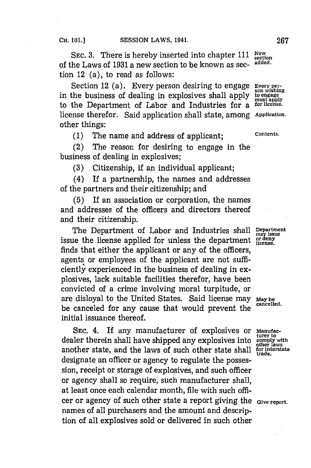SEC. 3. There is hereby inserted into chapter 111 New<br>the Laure of 1921 a new section to be known as see added. of the Laws of **1931** a new section to be known as sec- **added.** tion 12 (a), to read as follows:

Section 12 (a). Every person desiring to engage **Every per-**<br> **EXECUTE:** SON Wishing in the business of dealing in explosives shall apply to engage<br>to the Department of Labor and Industries for a forlicense. to the Department of Labor and Industries for a license therefor. Said application shall state, among **Application.** other things:

**(1)** The name and address of applicant; **Contents.**

(2) The reason for desiring to engage in the business of dealing in explosives;

**(3)** Citizenship, if an individual applicant;

(4) If a partnership, the names and addresses of the partners and their citizenship; and

**(5)** If an association or corporation, the names and addresses of the officers and directors thereof and their citizenship.

The Department of Labor and Industries shall **Department** issue the license applied for unless the department finds that either the applicant or any of the officers, agents or employees of the applicant are not sufficiently experienced in the business of dealing in explosives, lack suitable facilities therefor, have been convicted of a crime involving moral turpitude, or are disloyal to the United States. Said license may  $\frac{M_{\text{avg}}}{\text{cancellation}}$ be canceled for any cause that would prevent the initial issuance thereof.

SEC. 4. If any manufacturer of explosives or Manufac**turer to** dealer therein shall have shipped any explosives into **comply with** another state, and the laws of such other state shall designate an officer or agency to regulate the possession, receipt or storage of explosives, and such officer or agency shall so require, such manufacturer shall, at least once each calendar month, file with such officer or agency of such other state a report giving the **Give report.** names of all purchasers and the amount and description of all explosives sold or delivered in such other

may issue<br>or deny<br>license.

other laws<br>for interstate<br>trade.